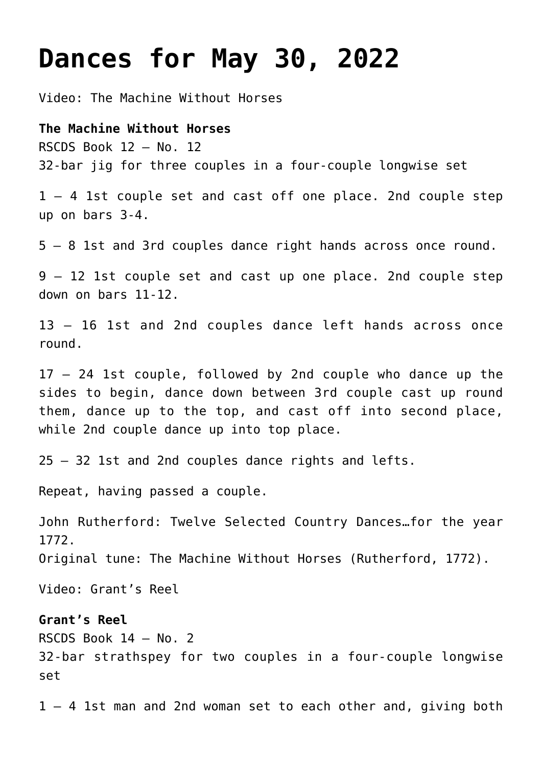# **[Dances for May 30, 2022](https://www.ottawadancescottish.org/?p=673)**

Video: [The Machine Without Horses](https://youtu.be/Zgfuc2DSkuw)

**The Machine Without Horses** RSCDS Book 12 – No. 12 32-bar jig for three couples in a four-couple longwise set

1 – 4 1st couple set and cast off one place. 2nd couple step up on bars 3-4.

5 – 8 1st and 3rd couples dance right hands across once round.

9 – 12 1st couple set and cast up one place. 2nd couple step down on bars 11-12.

13 – 16 1st and 2nd couples dance left hands across once round.

17 – 24 1st couple, followed by 2nd couple who dance up the sides to begin, dance down between 3rd couple cast up round them, dance up to the top, and cast off into second place, while 2nd couple dance up into top place.

25 – 32 1st and 2nd couples dance rights and lefts.

Repeat, having passed a couple.

John Rutherford: Twelve Selected Country Dances…for the year 1772.

Original tune: The Machine Without Horses (Rutherford, 1772).

Video: [Grant's Reel](https://youtu.be/yHSEVjgzyZY?t=25)

## **Grant's Reel**

RSCDS Book 14 – No. 2

32-bar strathspey for two couples in a four-couple longwise set

1 – 4 1st man and 2nd woman set to each other and, giving both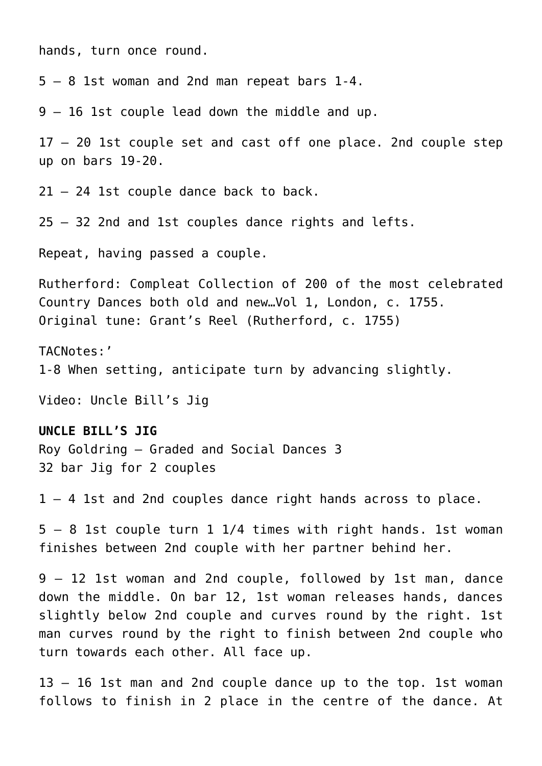hands, turn once round.

5 – 8 1st woman and 2nd man repeat bars 1-4.

9 – 16 1st couple lead down the middle and up.

17 – 20 1st couple set and cast off one place. 2nd couple step up on bars 19-20.

21 – 24 1st couple dance back to back.

25 – 32 2nd and 1st couples dance rights and lefts.

Repeat, having passed a couple.

Rutherford: Compleat Collection of 200 of the most celebrated Country Dances both old and new…Vol 1, London, c. 1755. Original tune: Grant's Reel (Rutherford, c. 1755)

TACNotes:' 1-8 When setting, anticipate turn by advancing slightly.

Video: [Uncle Bill's Jig](https://youtu.be/W3GZr1V4DAE)

#### **UNCLE BILL'S JIG**

Roy Goldring – Graded and Social Dances 3 32 bar Jig for 2 couples

1 – 4 1st and 2nd couples dance right hands across to place.

5 – 8 1st couple turn 1 1/4 times with right hands. 1st woman finishes between 2nd couple with her partner behind her.

9 – 12 1st woman and 2nd couple, followed by 1st man, dance down the middle. On bar 12, 1st woman releases hands, dances slightly below 2nd couple and curves round by the right. 1st man curves round by the right to finish between 2nd couple who turn towards each other. All face up.

13 – 16 1st man and 2nd couple dance up to the top. 1st woman follows to finish in 2 place in the centre of the dance. At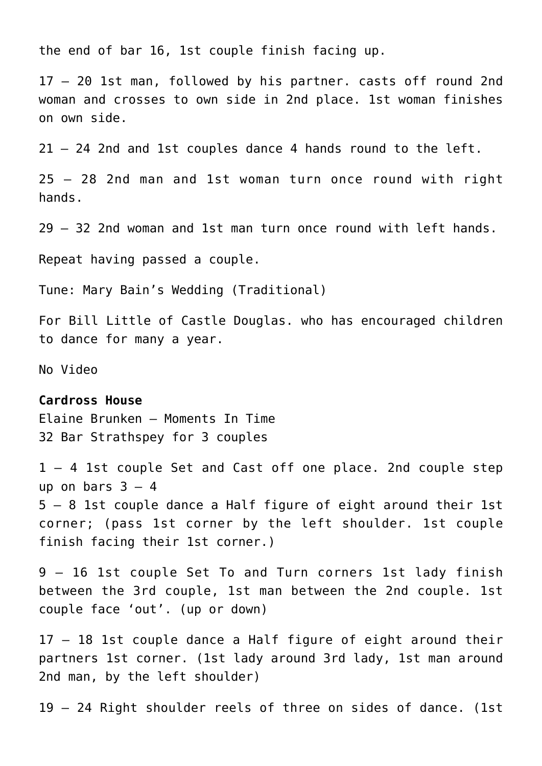the end of bar 16, 1st couple finish facing up.

17 – 20 1st man, followed by his partner. casts off round 2nd woman and crosses to own side in 2nd place. 1st woman finishes on own side.

21 – 24 2nd and 1st couples dance 4 hands round to the left.

25 – 28 2nd man and 1st woman turn once round with right hands.

29 – 32 2nd woman and 1st man turn once round with left hands.

Repeat having passed a couple.

Tune: Mary Bain's Wedding (Traditional)

For Bill Little of Castle Douglas. who has encouraged children to dance for many a year.

No Video

## **Cardross House**

Elaine Brunken – Moments In Time 32 Bar Strathspey for 3 couples

1 – 4 1st couple Set and Cast off one place. 2nd couple step up on bars  $3 - 4$ 5 – 8 1st couple dance a Half figure of eight around their 1st corner; (pass 1st corner by the left shoulder. 1st couple finish facing their 1st corner.)

9 – 16 1st couple Set To and Turn corners 1st lady finish between the 3rd couple, 1st man between the 2nd couple. 1st couple face 'out'. (up or down)

17 – 18 1st couple dance a Half figure of eight around their partners 1st corner. (1st lady around 3rd lady, 1st man around 2nd man, by the left shoulder)

19 – 24 Right shoulder reels of three on sides of dance. (1st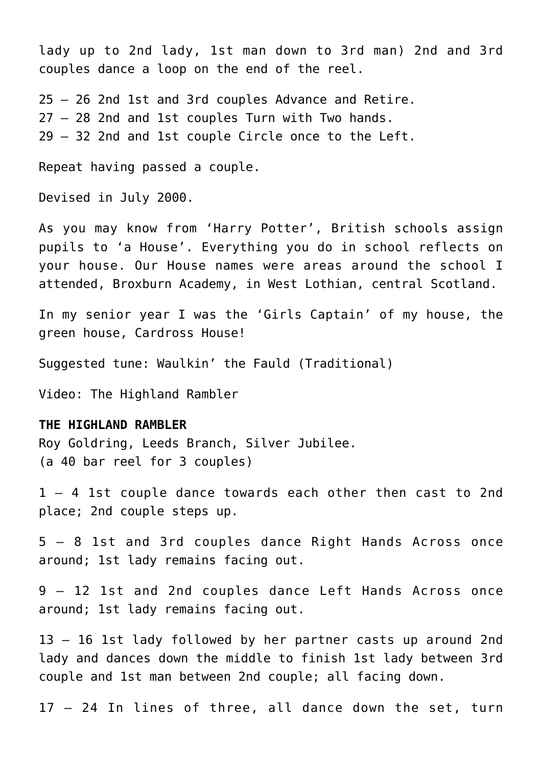lady up to 2nd lady, 1st man down to 3rd man) 2nd and 3rd couples dance a loop on the end of the reel.

25 – 26 2nd 1st and 3rd couples Advance and Retire. 27 – 28 2nd and 1st couples Turn with Two hands. 29 – 32 2nd and 1st couple Circle once to the Left.

Repeat having passed a couple.

Devised in July 2000.

As you may know from 'Harry Potter', British schools assign pupils to 'a House'. Everything you do in school reflects on your house. Our House names were areas around the school I attended, Broxburn Academy, in West Lothian, central Scotland.

In my senior year I was the 'Girls Captain' of my house, the green house, Cardross House!

Suggested tune: Waulkin' the Fauld (Traditional)

Video: [The Highland Rambler](https://youtu.be/6nb5co19V7w)

### **THE HIGHLAND RAMBLER**

Roy Goldring, Leeds Branch, Silver Jubilee. (a 40 bar reel for 3 couples)

1 – 4 1st couple dance towards each other then cast to 2nd place; 2nd couple steps up.

5 – 8 1st and 3rd couples dance Right Hands Across once around; 1st lady remains facing out.

9 – 12 1st and 2nd couples dance Left Hands Across once around; 1st lady remains facing out.

13 – 16 1st lady followed by her partner casts up around 2nd lady and dances down the middle to finish 1st lady between 3rd couple and 1st man between 2nd couple; all facing down.

17 – 24 In lines of three, all dance down the set, turn